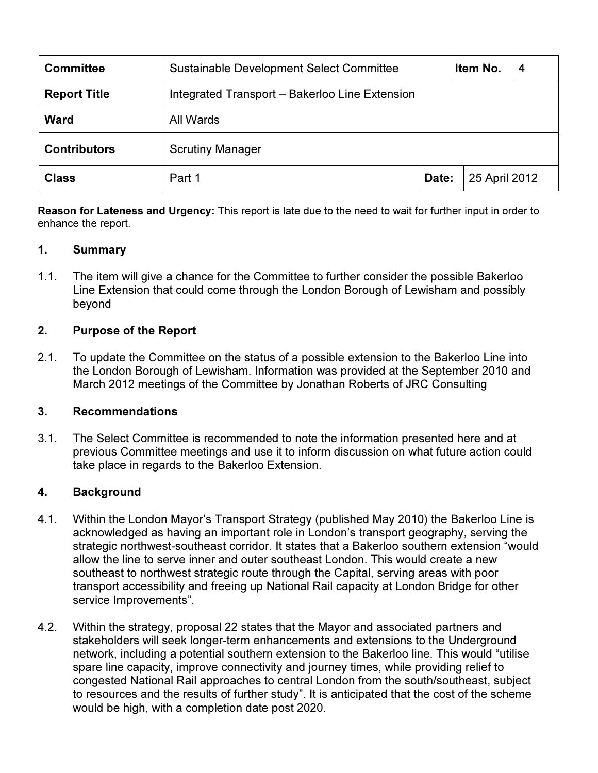| <b>Committee</b>    | Sustainable Development Select Committee       |       | Item No.      | 4 |
|---------------------|------------------------------------------------|-------|---------------|---|
| <b>Report Title</b> | Integrated Transport - Bakerloo Line Extension |       |               |   |
| <b>Ward</b>         | All Wards                                      |       |               |   |
| <b>Contributors</b> | <b>Scrutiny Manager</b>                        |       |               |   |
| <b>Class</b>        | Part 1                                         | Date: | 25 April 2012 |   |

Reason for Lateness and Urgency: This report is late due to the need to wait for further input in order to enhance the report.

#### 1. Summary

1.1. The item will give a chance for the Committee to further consider the possible Bakerloo Line Extension that could come through the London Borough of Lewisham and possibly beyond

#### 2. Purpose of the Report

2.1. To update the Committee on the status of a possible extension to the Bakerloo Line into the London Borough of Lewisham. Information was provided at the September 2010 and March 2012 meetings of the Committee by Jonathan Roberts of JRC Consulting

#### 3. Recommendations

3.1. The Select Committee is recommended to note the information presented here and at previous Committee meetings and use it to inform discussion on what future action could take place in regards to the Bakerloo Extension.

#### 4. Background

- 4.1. Within the London Mayor's Transport Strategy (published May 2010) the Bakerloo Line is acknowledged as having an important role in London's transport geography, serving the strategic northwest-southeast corridor. It states that a Bakerloo southern extension "would allow the line to serve inner and outer southeast London. This would create a new southeast to northwest strategic route through the Capital, serving areas with poor transport accessibility and freeing up National Rail capacity at London Bridge for other service Improvements".
- 4.2. Within the strategy, proposal 22 states that the Mayor and associated partners and stakeholders will seek longer-term enhancements and extensions to the Underground network, including a potential southern extension to the Bakerloo line. This would "utilise spare line capacity, improve connectivity and journey times, while providing relief to congested National Rail approaches to central London from the south/southeast, subject to resources and the results of further study". It is anticipated that the cost of the scheme would be high, with a completion date post 2020.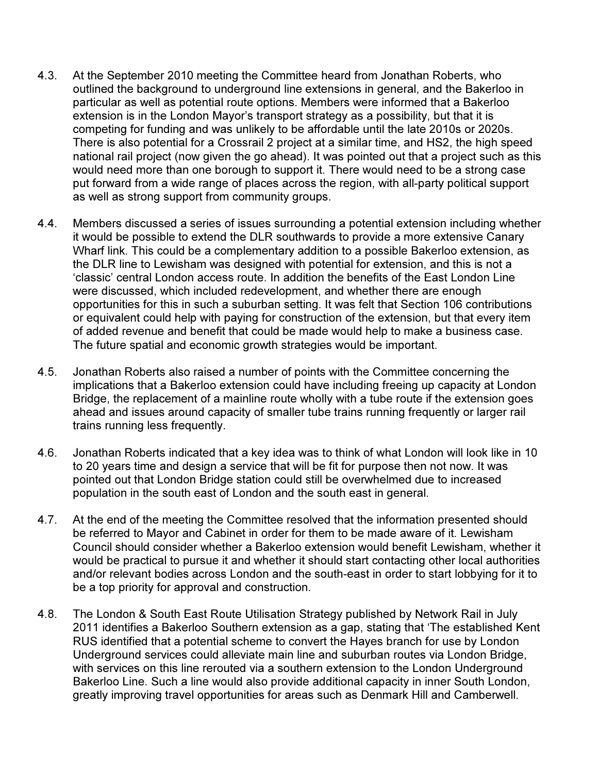- 4.3. At the September 2010 meeting the Committee heard from Jonathan Roberts, who outlined the background to underground line extensions in general, and the Bakerloo in particular as well as potential route options. Members were informed that a Bakerloo extension is in the London Mayor's transport strategy as a possibility, but that it is competing for funding and was unlikely to be affordable until the late 2010s or 2020s. There is also potential for a Crossrail 2 project at a similar time, and HS2, the high speed national rail project (now given the go ahead). It was pointed out that a project such as this would need more than one borough to support it. There would need to be a strong case put forward from a wide range of places across the region, with all-party political support as well as strong support from community groups.
- 4.4. Members discussed a series of issues surrounding a potential extension including whether it would be possible to extend the DLR southwards to provide a more extensive Canary Wharf link. This could be a complementary addition to a possible Bakerloo extension, as the DLR line to Lewisham was designed with potential for extension, and this is not a 'classic' central London access route. In addition the benefits of the East London Line were discussed, which included redevelopment, and whether there are enough opportunities for this in such a suburban setting. It was felt that Section 106 contributions or equivalent could help with paying for construction of the extension, but that every item of added revenue and benefit that could be made would help to make a business case. The future spatial and economic growth strategies would be important.
- 4.5. Jonathan Roberts also raised a number of points with the Committee concerning the implications that a Bakerloo extension could have including freeing up capacity at London Bridge, the replacement of a mainline route wholly with a tube route if the extension goes ahead and issues around capacity of smaller tube trains running frequently or larger rail trains running less frequently.
- 4.6. Jonathan Roberts indicated that a key idea was to think of what London will look like in 10 to 20 years time and design a service that will be fit for purpose then not now. It was pointed out that London Bridge station could still be overwhelmed due to increased population in the south east of London and the south east in general.
- 4.7. At the end of the meeting the Committee resolved that the information presented should be referred to Mayor and Cabinet in order for them to be made aware of it. Lewisham Council should consider whether a Bakerloo extension would benefit Lewisham, whether it would be practical to pursue it and whether it should start contacting other local authorities and/or relevant bodies across London and the south-east in order to start lobbying for it to be a top priority for approval and construction.
- 4.8. The London & South East Route Utilisation Strategy published by Network Rail in July 2011 identifies a Bakerloo Southern extension as a gap, stating that 'The established Kent RUS identified that a potential scheme to convert the Hayes branch for use by London Underground services could alleviate main line and suburban routes via London Bridge, with services on this line rerouted via a southern extension to the London Underground Bakerloo Line. Such a line would also provide additional capacity in inner South London, greatly improving travel opportunities for areas such as Denmark Hill and Camberwell.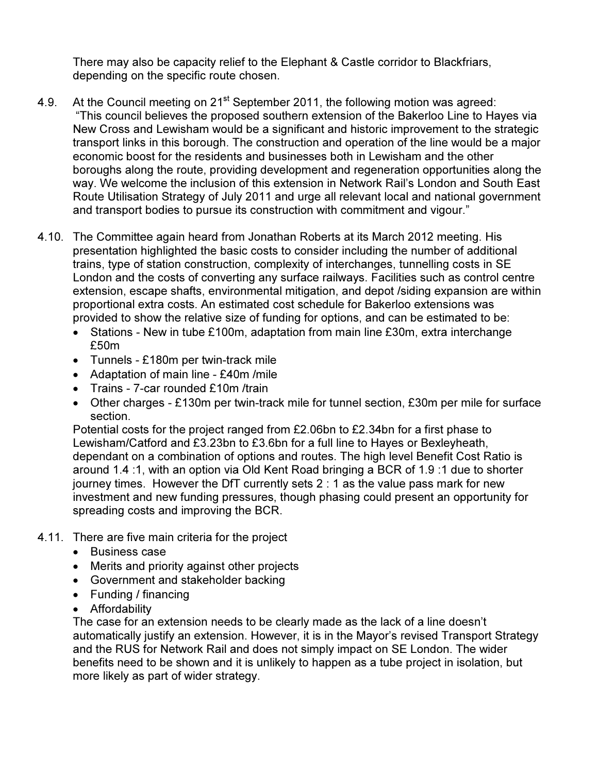There may also be capacity relief to the Elephant & Castle corridor to Blackfriars, depending on the specific route chosen.

- 4.9. At the Council meeting on 21<sup>st</sup> September 2011, the following motion was agreed: "This council believes the proposed southern extension of the Bakerloo Line to Hayes via New Cross and Lewisham would be a significant and historic improvement to the strategic transport links in this borough. The construction and operation of the line would be a major economic boost for the residents and businesses both in Lewisham and the other boroughs along the route, providing development and regeneration opportunities along the way. We welcome the inclusion of this extension in Network Rail's London and South East Route Utilisation Strategy of July 2011 and urge all relevant local and national government and transport bodies to pursue its construction with commitment and vigour."
- 4.10. The Committee again heard from Jonathan Roberts at its March 2012 meeting. His presentation highlighted the basic costs to consider including the number of additional trains, type of station construction, complexity of interchanges, tunnelling costs in SE London and the costs of converting any surface railways. Facilities such as control centre extension, escape shafts, environmental mitigation, and depot /siding expansion are within proportional extra costs. An estimated cost schedule for Bakerloo extensions was provided to show the relative size of funding for options, and can be estimated to be:
	- Stations New in tube £100m, adaptation from main line £30m, extra interchange £50m
	- Tunnels £180m per twin-track mile
	- Adaptation of main line £40m /mile
	- Trains 7-car rounded £10m /train
	- Other charges £130m per twin-track mile for tunnel section, £30m per mile for surface section.

Potential costs for the project ranged from £2.06bn to £2.34bn for a first phase to Lewisham/Catford and £3.23bn to £3.6bn for a full line to Hayes or Bexleyheath, dependant on a combination of options and routes. The high level Benefit Cost Ratio is around 1.4 :1, with an option via Old Kent Road bringing a BCR of 1.9 :1 due to shorter journey times. However the DfT currently sets 2 : 1 as the value pass mark for new investment and new funding pressures, though phasing could present an opportunity for spreading costs and improving the BCR.

- 4.11. There are five main criteria for the project
	- Business case
	- Merits and priority against other projects
	- Government and stakeholder backing
	- Funding / financing
	- Affordability

The case for an extension needs to be clearly made as the lack of a line doesn't automatically justify an extension. However, it is in the Mayor's revised Transport Strategy and the RUS for Network Rail and does not simply impact on SE London. The wider benefits need to be shown and it is unlikely to happen as a tube project in isolation, but more likely as part of wider strategy.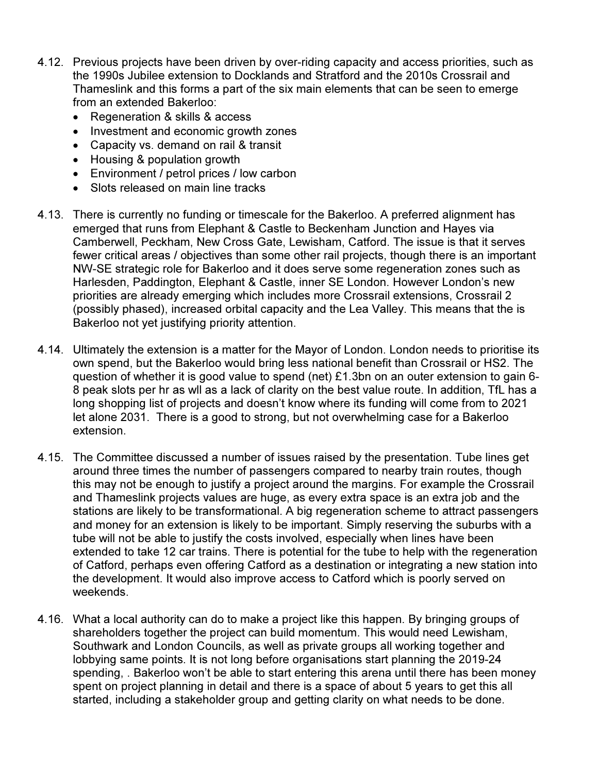- 4.12. Previous projects have been driven by over-riding capacity and access priorities, such as the 1990s Jubilee extension to Docklands and Stratford and the 2010s Crossrail and Thameslink and this forms a part of the six main elements that can be seen to emerge from an extended Bakerloo:
	- Regeneration & skills & access
	- Investment and economic growth zones
	- Capacity vs. demand on rail & transit
	- Housing & population growth
	- Environment / petrol prices / low carbon
	- Slots released on main line tracks
- 4.13. There is currently no funding or timescale for the Bakerloo. A preferred alignment has emerged that runs from Elephant & Castle to Beckenham Junction and Hayes via Camberwell, Peckham, New Cross Gate, Lewisham, Catford. The issue is that it serves fewer critical areas / objectives than some other rail projects, though there is an important NW-SE strategic role for Bakerloo and it does serve some regeneration zones such as Harlesden, Paddington, Elephant & Castle, inner SE London. However London's new priorities are already emerging which includes more Crossrail extensions, Crossrail 2 (possibly phased), increased orbital capacity and the Lea Valley. This means that the is Bakerloo not yet justifying priority attention.
- 4.14. Ultimately the extension is a matter for the Mayor of London. London needs to prioritise its own spend, but the Bakerloo would bring less national benefit than Crossrail or HS2. The question of whether it is good value to spend (net) £1.3bn on an outer extension to gain 6- 8 peak slots per hr as wll as a lack of clarity on the best value route. In addition, TfL has a long shopping list of projects and doesn't know where its funding will come from to 2021 let alone 2031. There is a good to strong, but not overwhelming case for a Bakerloo extension.
- 4.15. The Committee discussed a number of issues raised by the presentation. Tube lines get around three times the number of passengers compared to nearby train routes, though this may not be enough to justify a project around the margins. For example the Crossrail and Thameslink projects values are huge, as every extra space is an extra job and the stations are likely to be transformational. A big regeneration scheme to attract passengers and money for an extension is likely to be important. Simply reserving the suburbs with a tube will not be able to justify the costs involved, especially when lines have been extended to take 12 car trains. There is potential for the tube to help with the regeneration of Catford, perhaps even offering Catford as a destination or integrating a new station into the development. It would also improve access to Catford which is poorly served on weekends.
- 4.16. What a local authority can do to make a project like this happen. By bringing groups of shareholders together the project can build momentum. This would need Lewisham, Southwark and London Councils, as well as private groups all working together and lobbying same points. It is not long before organisations start planning the 2019-24 spending, . Bakerloo won't be able to start entering this arena until there has been money spent on project planning in detail and there is a space of about 5 years to get this all started, including a stakeholder group and getting clarity on what needs to be done.